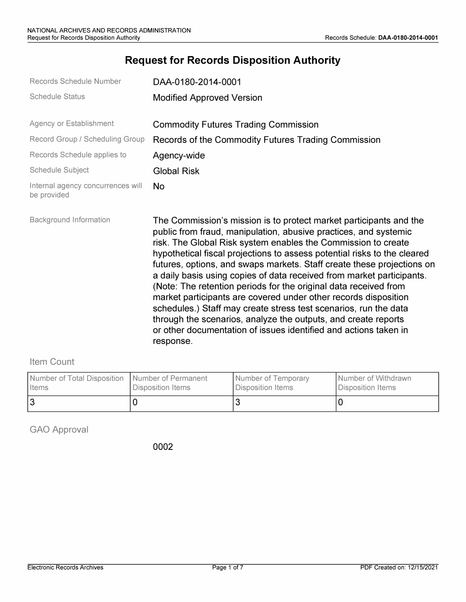# **Request for Records Disposition Authority**

| Records Schedule Number                          | DAA-0180-2014-0001                                                                                                                                                                                                                                                                                                                                                                                                                                                                                                                                                                                                                                                                                                                                                                                   |
|--------------------------------------------------|------------------------------------------------------------------------------------------------------------------------------------------------------------------------------------------------------------------------------------------------------------------------------------------------------------------------------------------------------------------------------------------------------------------------------------------------------------------------------------------------------------------------------------------------------------------------------------------------------------------------------------------------------------------------------------------------------------------------------------------------------------------------------------------------------|
| <b>Schedule Status</b>                           | <b>Modified Approved Version</b>                                                                                                                                                                                                                                                                                                                                                                                                                                                                                                                                                                                                                                                                                                                                                                     |
| Agency or Establishment                          | <b>Commodity Futures Trading Commission</b>                                                                                                                                                                                                                                                                                                                                                                                                                                                                                                                                                                                                                                                                                                                                                          |
| Record Group / Scheduling Group                  | Records of the Commodity Futures Trading Commission                                                                                                                                                                                                                                                                                                                                                                                                                                                                                                                                                                                                                                                                                                                                                  |
| Records Schedule applies to                      | Agency-wide                                                                                                                                                                                                                                                                                                                                                                                                                                                                                                                                                                                                                                                                                                                                                                                          |
| Schedule Subject                                 | <b>Global Risk</b>                                                                                                                                                                                                                                                                                                                                                                                                                                                                                                                                                                                                                                                                                                                                                                                   |
| Internal agency concurrences will<br>be provided | No                                                                                                                                                                                                                                                                                                                                                                                                                                                                                                                                                                                                                                                                                                                                                                                                   |
| <b>Background Information</b>                    | The Commission's mission is to protect market participants and the<br>public from fraud, manipulation, abusive practices, and systemic<br>risk. The Global Risk system enables the Commission to create<br>hypothetical fiscal projections to assess potential risks to the cleared<br>futures, options, and swaps markets. Staff create these projections on<br>a daily basis using copies of data received from market participants.<br>(Note: The retention periods for the original data received from<br>market participants are covered under other records disposition<br>schedules.) Staff may create stress test scenarios, run the data<br>through the scenarios, analyze the outputs, and create reports<br>or other documentation of issues identified and actions taken in<br>response. |

### Item Count

| Number of Total Disposition   Number of Permanent | Disposition Items | <b>I</b> Number of Temporary | I Number of Withdrawn |
|---------------------------------------------------|-------------------|------------------------------|-----------------------|
| I Items                                           |                   | Disposition Items            | l Disposition Items   |
|                                                   |                   |                              |                       |

GAO Approval

0002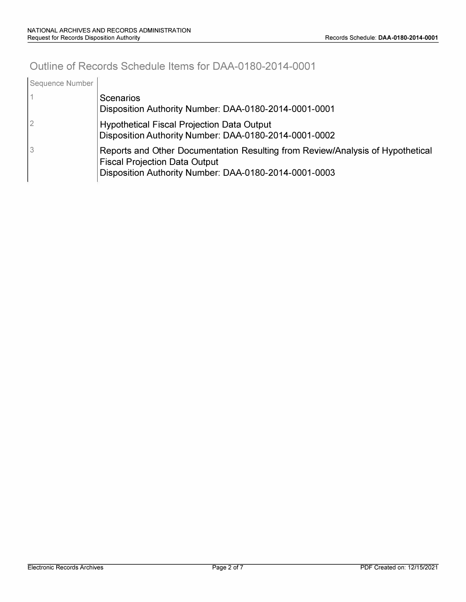# **Outline of Records Schedule Items for DAA-0180-2014-0001**

| Sequence Number |                                                                                                                                                                                 |
|-----------------|---------------------------------------------------------------------------------------------------------------------------------------------------------------------------------|
|                 | Scenarios<br>Disposition Authority Number: DAA-0180-2014-0001-0001                                                                                                              |
| 2               | <b>Hypothetical Fiscal Projection Data Output</b><br>Disposition Authority Number: DAA-0180-2014-0001-0002                                                                      |
| 3               | Reports and Other Documentation Resulting from Review/Analysis of Hypothetical<br><b>Fiscal Projection Data Output</b><br>Disposition Authority Number: DAA-0180-2014-0001-0003 |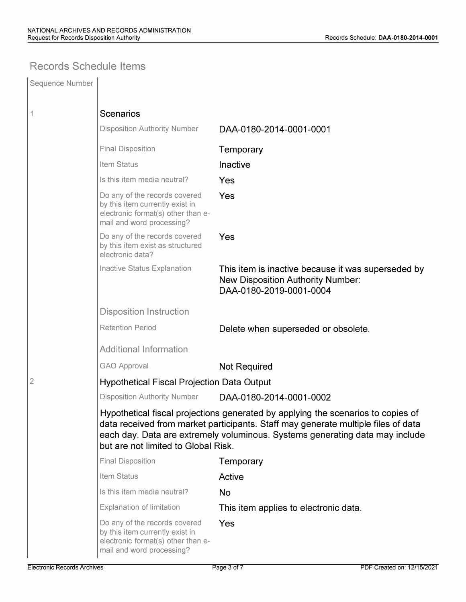### **Records Schedule Items**

| Sequence Number |                                                                                                                                                                                                                                                                                              |                                                                                                                           |  |  |
|-----------------|----------------------------------------------------------------------------------------------------------------------------------------------------------------------------------------------------------------------------------------------------------------------------------------------|---------------------------------------------------------------------------------------------------------------------------|--|--|
| 1               | <b>Scenarios</b>                                                                                                                                                                                                                                                                             |                                                                                                                           |  |  |
|                 | <b>Disposition Authority Number</b>                                                                                                                                                                                                                                                          | DAA-0180-2014-0001-0001                                                                                                   |  |  |
|                 | <b>Final Disposition</b>                                                                                                                                                                                                                                                                     | Temporary                                                                                                                 |  |  |
|                 | Item Status                                                                                                                                                                                                                                                                                  | Inactive                                                                                                                  |  |  |
|                 | Is this item media neutral?                                                                                                                                                                                                                                                                  | Yes                                                                                                                       |  |  |
|                 | Do any of the records covered<br>by this item currently exist in<br>electronic format(s) other than e-<br>mail and word processing?                                                                                                                                                          | Yes                                                                                                                       |  |  |
|                 | Do any of the records covered<br>by this item exist as structured<br>electronic data?                                                                                                                                                                                                        | Yes                                                                                                                       |  |  |
|                 | Inactive Status Explanation                                                                                                                                                                                                                                                                  | This item is inactive because it was superseded by<br><b>New Disposition Authority Number:</b><br>DAA-0180-2019-0001-0004 |  |  |
|                 | <b>Disposition Instruction</b>                                                                                                                                                                                                                                                               |                                                                                                                           |  |  |
|                 | <b>Retention Period</b>                                                                                                                                                                                                                                                                      | Delete when superseded or obsolete.                                                                                       |  |  |
|                 | <b>Additional Information</b>                                                                                                                                                                                                                                                                |                                                                                                                           |  |  |
|                 | <b>GAO Approval</b>                                                                                                                                                                                                                                                                          | Not Required                                                                                                              |  |  |
| 2               | <b>Hypothetical Fiscal Projection Data Output</b>                                                                                                                                                                                                                                            |                                                                                                                           |  |  |
|                 | <b>Disposition Authority Number</b>                                                                                                                                                                                                                                                          | DAA-0180-2014-0001-0002                                                                                                   |  |  |
|                 | Hypothetical fiscal projections generated by applying the scenarios to copies of<br>data received from market participants. Staff may generate multiple files of data<br>each day. Data are extremely voluminous. Systems generating data may include<br>but are not limited to Global Risk. |                                                                                                                           |  |  |
|                 | <b>Final Disposition</b>                                                                                                                                                                                                                                                                     | Temporary                                                                                                                 |  |  |
|                 | Item Status                                                                                                                                                                                                                                                                                  | Active                                                                                                                    |  |  |
|                 | Is this item media neutral?                                                                                                                                                                                                                                                                  | <b>No</b>                                                                                                                 |  |  |
|                 | Explanation of limitation                                                                                                                                                                                                                                                                    | This item applies to electronic data.                                                                                     |  |  |
|                 | Do any of the records covered<br>by this item currently exist in<br>electronic format(s) other than e-<br>mail and word processing?                                                                                                                                                          | Yes                                                                                                                       |  |  |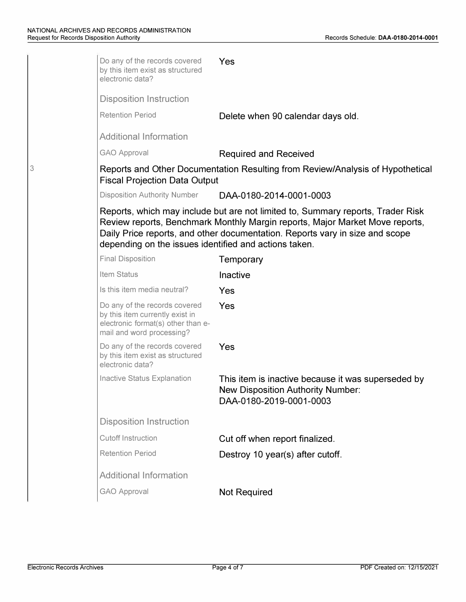3

| Do any of the records covered<br>by this item exist as structured<br>electronic data?                                               | Yes                                                                                                                                                          |
|-------------------------------------------------------------------------------------------------------------------------------------|--------------------------------------------------------------------------------------------------------------------------------------------------------------|
| <b>Disposition Instruction</b>                                                                                                      |                                                                                                                                                              |
| <b>Retention Period</b>                                                                                                             | Delete when 90 calendar days old.                                                                                                                            |
| <b>Additional Information</b>                                                                                                       |                                                                                                                                                              |
| <b>GAO Approval</b>                                                                                                                 | <b>Required and Received</b>                                                                                                                                 |
| <b>Fiscal Projection Data Output</b>                                                                                                | Reports and Other Documentation Resulting from Review/Analysis of Hypothetical                                                                               |
| <b>Disposition Authority Number</b>                                                                                                 | DAA-0180-2014-0001-0003                                                                                                                                      |
| depending on the issues identified and actions taken.                                                                               | Review reports, Benchmark Monthly Margin reports, Major Market Move reports,<br>Daily Price reports, and other documentation. Reports vary in size and scope |
| <b>Final Disposition</b>                                                                                                            | Temporary                                                                                                                                                    |
| Item Status                                                                                                                         | Inactive                                                                                                                                                     |
| Is this item media neutral?                                                                                                         | Yes                                                                                                                                                          |
| Do any of the records covered<br>by this item currently exist in<br>electronic format(s) other than e-<br>mail and word processing? | Yes                                                                                                                                                          |
| Do any of the records covered<br>by this item exist as structured<br>electronic data?                                               | Yes                                                                                                                                                          |
| Inactive Status Explanation                                                                                                         | This item is inactive because it was superseded by<br><b>New Disposition Authority Number:</b><br>DAA-0180-2019-0001-0003                                    |
| <b>Disposition Instruction</b>                                                                                                      |                                                                                                                                                              |
| <b>Cutoff Instruction</b>                                                                                                           | Cut off when report finalized.                                                                                                                               |
| <b>Retention Period</b>                                                                                                             | Destroy 10 year(s) after cutoff.                                                                                                                             |
| <b>Additional Information</b>                                                                                                       |                                                                                                                                                              |
|                                                                                                                                     |                                                                                                                                                              |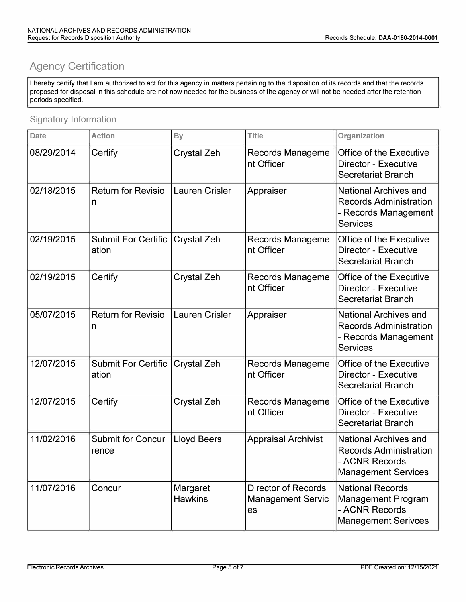# **Agency Certification**

I hereby certify that I am authorized to act for this agency in matters pertaining to the disposition of its records and that the records proposed for disposal in this schedule are not now needed for the business of the agency or will not be needed after the retention periods specified.

#### Signatory Information

| <b>Date</b> | <b>Action</b>                       | <b>By</b>                  | <b>Title</b>                                                 | Organization                                                                                                  |
|-------------|-------------------------------------|----------------------------|--------------------------------------------------------------|---------------------------------------------------------------------------------------------------------------|
| 08/29/2014  | Certify                             | Crystal Zeh                | Records Manageme<br>nt Officer                               | Office of the Executive<br>Director - Executive<br>Secretariat Branch                                         |
| 02/18/2015  | <b>Return for Revisio</b><br>n      | <b>Lauren Crisler</b>      | Appraiser                                                    | <b>National Archives and</b><br><b>Records Administration</b><br>- Records Management<br><b>Services</b>      |
| 02/19/2015  | <b>Submit For Certific</b><br>ation | Crystal Zeh                | <b>Records Manageme</b><br>nt Officer                        | <b>Office of the Executive</b><br>Director - Executive<br>Secretariat Branch                                  |
| 02/19/2015  | Certify                             | <b>Crystal Zeh</b>         | <b>Records Manageme</b><br>nt Officer                        | Office of the Executive<br><b>Director - Executive</b><br>Secretariat Branch                                  |
| 05/07/2015  | <b>Return for Revisio</b><br>n      | <b>Lauren Crisler</b>      | Appraiser                                                    | <b>National Archives and</b><br><b>Records Administration</b><br>- Records Management<br><b>Services</b>      |
| 12/07/2015  | <b>Submit For Certific</b><br>ation | Crystal Zeh                | Records Manageme<br>nt Officer                               | Office of the Executive<br>Director - Executive<br>Secretariat Branch                                         |
| 12/07/2015  | Certify                             | <b>Crystal Zeh</b>         | <b>Records Manageme</b><br>nt Officer                        | <b>Office of the Executive</b><br><b>Director - Executive</b><br><b>Secretariat Branch</b>                    |
| 11/02/2016  | <b>Submit for Concur</b><br>rence   | <b>Lloyd Beers</b>         | <b>Appraisal Archivist</b>                                   | <b>National Archives and</b><br><b>Records Administration</b><br>- ACNR Records<br><b>Management Services</b> |
| 11/07/2016  | Concur                              | Margaret<br><b>Hawkins</b> | <b>Director of Records</b><br><b>Management Servic</b><br>es | <b>National Records</b><br><b>Management Program</b><br>- ACNR Records<br><b>Management Serivces</b>          |